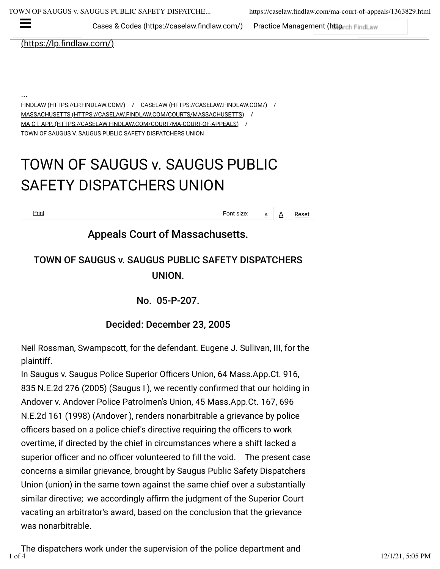Cases & Codes (https://caselaw.findlaw.com/) [Practice Management \(https](https://practice.findlaw.com/)://religion

(https://lp.findlaw.com/)

<u>[FINDLAW \(HTTPS://LP.FINDLAW.COM/\)](https://lp.findlaw.com/)</u> / <u>[CASELAW \(HTTPS://CASELAW.FINDLAW.COM/\)](https://caselaw.findlaw.com/)</u> / [MASSACHUSETTS \(HTTPS://CASELAW.FINDLAW.COM/COURTS/MASSACHUSETTS\)](https://caselaw.findlaw.com/courts/Massachusetts) / ...

[MA CT. APP. \(HTTPS://CASELAW.FINDLAW.COM/COURT/MA-COURT-OF-APPEALS\)](https://caselaw.findlaw.com/court/ma-court-of-appeals) /

TOWN OF SAUGUS V. SAUGUS PUBLIC SAFETY DISPATCHERS UNION

# TOWN OF SAUGUS v. SAUGUS PUBLIC SAFETY DISPATCHERS UNION

 $\frac{\text{Print}}{\text{A}}$   $\frac{\text{A}}{\text{A}}$  Reset

### Appeals Court of Massachusetts.

## TOWN OF SAUGUS v. SAUGUS PUBLIC SAFETY DISPATCHERS UNION.

No. 05-P-207.

Decided: December 23, 2005

Neil Rossman, Swampscott, for the defendant. Eugene J. Sullivan, III, for the plaintiff.

In Saugus v. Saugus Police Superior Officers Union, 64 Mass.App.Ct. 916, 835 N.E.2d 276 (2005) (Saugus I ), we recently confirmed that our holding in Andover v. Andover Police Patrolmen's Union, 45 Mass.App.Ct. 167, 696 N.E.2d 161 (1998) (Andover ), renders nonarbitrable a grievance by police officers based on a police chief's directive requiring the officers to work overtime, if directed by the chief in circumstances where a shift lacked a superior officer and no officer volunteered to fill the void. The present case concerns a similar grievance, brought by Saugus Public Safety Dispatchers Union (union) in the same town against the same chief over a substantially similar directive; we accordingly affirm the judgment of the Superior Court vacating an arbitrator's award, based on the [conclusion that the grievance](https://newsletters.findlaw.com/) was nonarbitrable.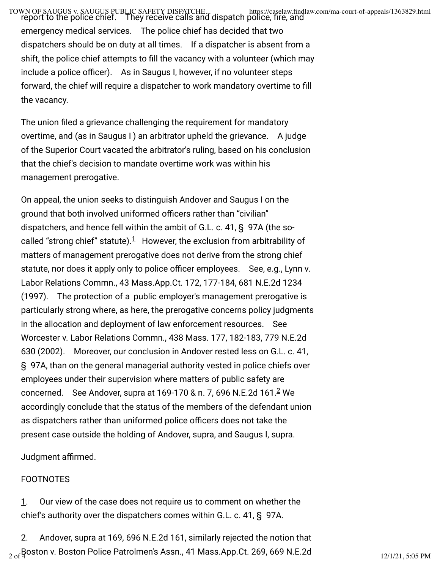TOWN OF SAUGUS v. SAUGUS PUBLIC SAFETY DISPATCHE... https://caselaw.findlaw.com/ma-court-of-appeals/1363829.html<br>report to the police chief. They receive calls and dispatch police, fire, and emergency medical services. The police chief has decided that two dispatchers should be on duty at all times. If a dispatcher is absent from a shift, the police chief attempts to fill the vacancy with a volunteer (which may include a police officer). As in Saugus I, however, if no volunteer steps forward, the chief will require a dispatcher to work mandatory overtime to fill the vacancy.

The union filed a grievance challenging the requirement for mandatory overtime, and (as in Saugus I ) an arbitrator upheld the grievance. A judge of the Superior Court vacated the arbitrator's ruling, based on his conclusion that the chief's decision to mandate overtime work was within his management prerogative.

On appeal, the union seeks to distinguish Andover and Saugus I on the ground that both involved uniformed officers rather than "civilian" dispatchers, and hence fell within the ambit of G.L. c. 41, § 97A (the so-called "strong chief" statute)[.](https://caselaw.findlaw.com/ma-court-of-appeals/1363829.html#footnote_1) $1$  However, the exclusion from arbitrability of matters of management prerogative does not derive from the strong chief statute, nor does it apply only to police officer employees. See, e.g., Lynn v. Labor Relations Commn., 43 Mass.App.Ct. 172, 177-184, 681 N.E.2d 1234 (1997). The protection of a  public employer's management prerogative is particularly strong where, as here, the prerogative concerns policy judgments in the allocation and deployment of law enforcement resources. See Worcester v. Labor Relations Commn., 438 Mass. 177, 182-183, 779 N.E.2d 630 (2002). Moreover, our conclusion in Andover rested less on G.L. c. 41, § 97A, than on the general managerial authority vested in police chiefs over employees under their supervision where matters of public safety are concerned[.](https://caselaw.findlaw.com/ma-court-of-appeals/1363829.html#footnote_2) See Andover, supra at 169-170 & n. 7, 696 N.E.[2](https://caselaw.findlaw.com/ma-court-of-appeals/1363829.html#footnote_2)d 161.<sup>2</sup> We accordingly conclude that the status of the members of the defendant union as dispatchers rather than uniformed police officers does not take the present case outside the holding of Andover, supra, and Saugus I, supra.

Judgment affirmed.

### FOOTNOTES

[1.](https://caselaw.findlaw.com/ma-court-of-appeals/1363829.html#footnote_ref_1) Our view of the case does not require u[s to comment on whether the](https://newsletters.findlaw.com/) chief's authority over the dispatchers comes within G.L. c. 41, § 97A.

[2.](https://caselaw.findlaw.com/ma-court-of-appeals/1363829.html#footnote_ref_2) Andover, supra at 169, 696 N.E.2d 161, [similarly rejected the notion tha](https://policies.google.com/privacy)t  $_{\rm 2~of}$ Boston v. Boston Police Patrolmen's Assn., 4[1 Mass.App.Ct. 269, 669 N.E.](https://policies.google.com/terms)2d  $_{\rm 12/1/21,~5:05~PM}$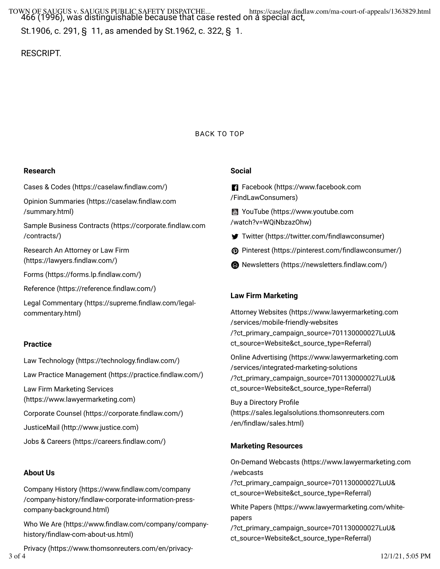TOWN OF SAUGUS v. SAUGUS PUBLIC SAFETY DISPATCHE... https://caselaw.findlaw.com/ma-court-of-appeals/1363829.html<br>466 (1996), was distinguishable because that case rested on a special act, St.1906, c. 291, § 11, as amended by St.1962, c. 322, § 1.

RESCRIPT.

#### [BACK TO TOP](https://caselaw.findlaw.com/ma-court-of-appeals/1363829.html#)

#### **Research**

Cases & Codes (https://caselaw.findlaw.com/)

Opinion Summaries (https://caselaw.findlaw.com [/summary.html\)](https://caselaw.findlaw.com/summary.html)

Sample Business Contracts (https://corporate.findlaw.com [/contracts/\)](https://corporate.findlaw.com/contracts/)

[Research An Attorney or Law Firm](https://lawyers.findlaw.com/) (https://lawyers.findlaw.com/)

Forms (https://forms.lp.findlaw.com/)

Reference (https://reference.findlaw.com/)

Legal Commentary (https://supreme.findlaw.com/legal[commentary.html\)](https://supreme.findlaw.com/legal-commentary.html)

#### **Practice**

Law Technology (https://technology.findlaw.com/) Law Practice Management (https://practice.findlaw.com/) [Law Firm Marketing Services](https://www.lawyermarketing.com/) [\(https://www.lawyermarketing.com\)](https://www.lawyermarketing.com/) Corporate Counsel (https://corporate.findlaw.com/) [JusticeMail \(http://www.justice.com\)](http://www.justice.com/) Jobs & Careers (https://careers.findlaw.com/)

#### **About Us**

Company History (https://www.findlaw.com/company /company-history/findlaw-corporate-information-press[company-background.html\)](https://www.findlaw.com/company/company-history/findlaw-corporate-information-press-company-background.html)

Who We Are (https://www.findlaw.com/company/companyhistory/findlaw-com-about-us.html)

[Privacy \(https://www.thomsonreuters.com/en/privacy-](https://www.thomsonreuters.com/en/privacy-statement.html)

#### **Social**

**F1** [Facebook \(https://www.facebook.com](https://www.facebook.com/FindLawConsumers) [/FindLawConsumers\)](https://www.facebook.com/FindLawConsumers)

**图 [YouTube \(https://www.youtube.com](https://www.youtube.com/watch?v=WQiNbzazOhw)** [/watch?v=WQiNbzazOhw\)](https://www.youtube.com/watch?v=WQiNbzazOhw)

- Twitter (https://twitter.com/findlawconsumer)
- **@** Pinterest (https://pinterest.com/findlawconsumer/)
- **B** Newsletters (https://newsletters.findlaw.com/)

#### **Law Firm Marketing**

[Attorney Websites \(https://www.lawyermarketing.com](https://www.lawyermarketing.com/services/mobile-friendly-websites/?ct_primary_campaign_source=701130000027LuU&ct_source=Website&ct_source_type=Referral) [/services/mobile-friendly-websites](https://www.lawyermarketing.com/services/mobile-friendly-websites/?ct_primary_campaign_source=701130000027LuU&ct_source=Website&ct_source_type=Referral) [/?ct\\_primary\\_campaign\\_source=701130000027LuU&](https://www.lawyermarketing.com/services/mobile-friendly-websites/?ct_primary_campaign_source=701130000027LuU&ct_source=Website&ct_source_type=Referral) [ct\\_source=Website&ct\\_source\\_type=Referral\)](https://www.lawyermarketing.com/services/mobile-friendly-websites/?ct_primary_campaign_source=701130000027LuU&ct_source=Website&ct_source_type=Referral)

[Online Advertising \(https://www.lawyermarketing.com](https://www.lawyermarketing.com/services/integrated-marketing-solutions/?ct_primary_campaign_source=701130000027LuU&ct_source=Website&ct_source_type=Referral) [/services/integrated-marketing-solutions](https://www.lawyermarketing.com/services/integrated-marketing-solutions/?ct_primary_campaign_source=701130000027LuU&ct_source=Website&ct_source_type=Referral) [/?ct\\_primary\\_campaign\\_source=701130000027LuU&](https://www.lawyermarketing.com/services/integrated-marketing-solutions/?ct_primary_campaign_source=701130000027LuU&ct_source=Website&ct_source_type=Referral) [ct\\_source=Website&ct\\_source\\_type=Referral\)](https://www.lawyermarketing.com/services/integrated-marketing-solutions/?ct_primary_campaign_source=701130000027LuU&ct_source=Website&ct_source_type=Referral)

Buy a Directory Profile [\(https://sales.legalsolutions.thomsonreuters.com](https://sales.legalsolutions.thomsonreuters.com/en/findlaw/sales.html) /en/findlaw/sales.html)

#### **Marketing Resources**

[On-Demand Webcasts \(https://www.lawyermarketing.com](https://www.lawyermarketing.com/webcasts/?ct_primary_campaign_source=701130000027LuU&ct_source=Website&ct_source_type=Referral) [/webcasts](https://www.lawyermarketing.com/webcasts/?ct_primary_campaign_source=701130000027LuU&ct_source=Website&ct_source_type=Referral) [/?ct\\_primary\\_campaign\\_source=701130000027LuU&](https://www.lawyermarketing.com/webcasts/?ct_primary_campaign_source=701130000027LuU&ct_source=Website&ct_source_type=Referral) [ct\\_source=Website&ct\\_source\\_type=Referral\)](https://www.lawyermarketing.com/webcasts/?ct_primary_campaign_source=701130000027LuU&ct_source=Website&ct_source_type=Referral) [White Papers \(https://www.lawyermarketing.com/white](https://www.lawyermarketing.com/white-papers/?ct_primary_campaign_source=701130000027LuU&ct_source=Website&ct_source_type=Referral)[papers](https://www.lawyermarketing.com/white-papers/?ct_primary_campaign_source=701130000027LuU&ct_source=Website&ct_source_type=Referral) [/?ct\\_primary\\_campaign\\_source=701130000027LuU&](https://www.lawyermarketing.com/white-papers/?ct_primary_campaign_source=701130000027LuU&ct_source=Website&ct_source_type=Referral)

[ct\\_source=Website&ct\\_source\\_type=Referral\)](https://www.lawyermarketing.com/white-papers/?ct_primary_campaign_source=701130000027LuU&ct_source=Website&ct_source_type=Referral)